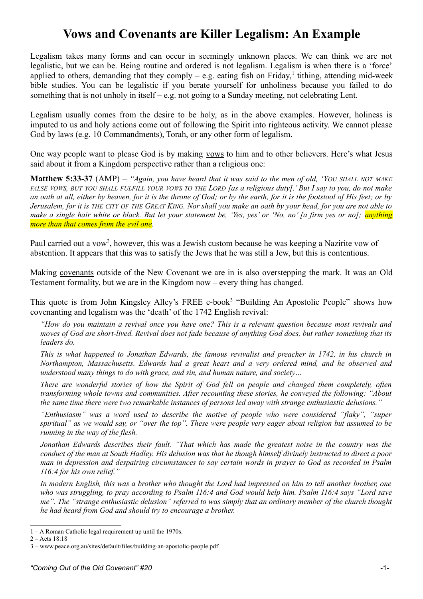## **Vows and Covenants are Killer Legalism: An Example**

Legalism takes many forms and can occur in seemingly unknown places. We can think we are not legalistic, but we can be. Being routine and ordered is not legalism. Legalism is when there is a 'force' applied to others, demanding that they comply  $-$  e.g. eating fish on Friday,<sup>[1](#page-0-0)</sup> tithing, attending mid-week bible studies. You can be legalistic if you berate yourself for unholiness because you failed to do something that is not unholy in itself – e.g. not going to a Sunday meeting, not celebrating Lent.

Legalism usually comes from the desire to be holy, as in the above examples. However, holiness is imputed to us and holy actions come out of following the Spirit into righteous activity. We cannot please God by laws (e.g. 10 Commandments), Torah, or any other form of legalism.

One way people want to please God is by making vows to him and to other believers. Here's what Jesus said about it from a Kingdom perspective rather than a religious one:

**Matthew 5:33-37** (AMP) – *"Again, you have heard that it was said to the men of old, 'YOU SHALL NOT MAKE FALSE VOWS, BUT YOU SHALL FULFILL YOUR VOWS TO THE LORD [as a religious duty].' But I say to you, do not make an oath at all, either by heaven, for it is the throne of God; or by the earth, for it is the footstool of His feet; or by Jerusalem, for it is THE CITY OF THE GREAT KING. Nor shall you make an oath by your head, for you are not able to make a single hair white or black. But let your statement be, 'Yes, yes' or 'No, no' [a firm yes or no]; anything more than that comes from the evil one.*

Paul carried out a vow<sup>[2](#page-0-1)</sup>, however, this was a Jewish custom because he was keeping a Nazirite vow of abstention. It appears that this was to satisfy the Jews that he was still a Jew, but this is contentious.

Making covenants outside of the New Covenant we are in is also overstepping the mark. It was an Old Testament formality, but we are in the Kingdom now – every thing has changed.

This quote is from John Kingsley Alley's FREE e-book<sup>[3](#page-0-2)</sup> "Building An Apostolic People" shows how covenanting and legalism was the 'death' of the 1742 English revival:

*"How do you maintain a revival once you have one? This is a relevant question because most revivals and moves of God are short-lived. Revival does not fade because of anything God does, but rather something that its leaders do.* 

*This is what happened to Jonathan Edwards, the famous revivalist and preacher in 1742, in his church in Northampton, Massachusetts. Edwards had a great heart and a very ordered mind, and he observed and understood many things to do with grace, and sin, and human nature, and society…*

*There are wonderful stories of how the Spirit of God fell on people and changed them completely, often transforming whole towns and communities. After recounting these stories, he conveyed the following: "About the same time there were two remarkable instances of persons led away with strange enthusiastic delusions."* 

*"Enthusiasm" was a word used to describe the motive of people who were considered "flaky", "super spiritual" as we would say, or "over the top". These were people very eager about religion but assumed to be running in the way of the flesh.* 

*Jonathan Edwards describes their fault. "That which has made the greatest noise in the country was the conduct of the man at South Hadley. His delusion was that he though himself divinely instructed to direct a poor man in depression and despairing circumstances to say certain words in prayer to God as recorded in Psalm 116:4 for his own relief."* 

*In modern English, this was a brother who thought the Lord had impressed on him to tell another brother, one who was struggling, to pray according to Psalm 116:4 and God would help him. Psalm 116:4 says "Lord save me". The "strange enthusiastic delusion" referred to was simply that an ordinary member of the church thought he had heard from God and should try to encourage a brother.*

<span id="page-0-0"></span><sup>1 –</sup> A Roman Catholic legal requirement up until the 1970s.

<span id="page-0-1"></span> $2 -$ Acts  $18.18$ 

<span id="page-0-2"></span><sup>3 –</sup> www.peace.org.au/sites/default/files/building-an-apostolic-people.pdf